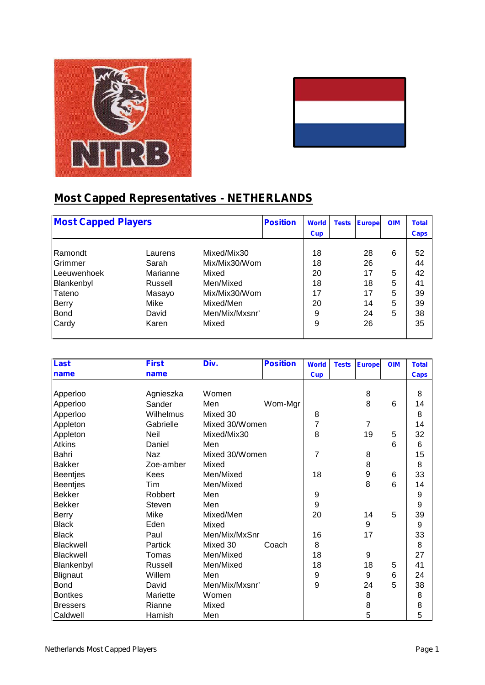



### **Most Capped Representatives - NETHERLANDS**

| <b>Most Capped Players</b> |          |               | <b>Position</b> | <b>World</b> | <b>Tests</b> | <b>Europe</b> | <b>OIM</b> | <b>Total</b> |
|----------------------------|----------|---------------|-----------------|--------------|--------------|---------------|------------|--------------|
|                            |          |               |                 | <b>Cup</b>   |              |               |            | <b>Caps</b>  |
| Ramondt                    | Laurens  | Mixed/Mix30   |                 | 18           |              | 28            | 6          | 52           |
| Grimmer                    | Sarah    | Mix/Mix30/Wom |                 | 18           |              | 26            |            | 44           |
| Leeuwenhoek                | Marianne | Mixed         |                 | 20           |              | 17            | 5          | 42           |
| Blankenbyl                 | Russell  | Men/Mixed     |                 | 18           |              | 18            | 5          | 41           |
| Tateno                     | Masayo   | Mix/Mix30/Wom |                 | 17           |              | 17            | 5          | 39           |
| <b>Berry</b>               | Mike     | Mixed/Men     |                 | 20           |              | 14            | 5          | 39           |
| Bond                       | David    | Men/Mix/Mxsnr |                 | 9            |              | 24            | 5          | 38           |
| Cardy                      | Karen    | Mixed         |                 | 9            |              | 26            |            | 35           |
|                            |          |               |                 |              |              |               |            |              |

| Last            | <b>First</b> | Div.           | <b>Position</b> | <b>World</b> | <b>Tests</b> | <b>Europe</b> | <b>OIM</b> | <b>Total</b> |
|-----------------|--------------|----------------|-----------------|--------------|--------------|---------------|------------|--------------|
| name            | name         |                |                 | <b>Cup</b>   |              |               |            | <b>Caps</b>  |
|                 |              |                |                 |              |              |               |            |              |
| Apperloo        | Agnieszka    | Women          |                 |              |              | 8             |            | 8            |
| Apperloo        | Sander       | Men            | Wom-Mgr         |              |              | 8             | 6          | 14           |
| Apperloo        | Wilhelmus    | Mixed 30       |                 | 8            |              |               |            | 8            |
| Appleton        | Gabrielle    | Mixed 30/Women |                 | 7            |              | 7             |            | 14           |
| Appleton        | Neil         | Mixed/Mix30    |                 | 8            |              | 19            | 5          | 32           |
| Atkins          | Daniel       | Men            |                 |              |              |               | 6          | 6            |
| Bahri           | <b>Naz</b>   | Mixed 30/Women |                 | 7            |              | 8             |            | 15           |
| <b>Bakker</b>   | Zoe-amber    | Mixed          |                 |              |              | 8             |            | 8            |
| <b>Beentjes</b> | Kees         | Men/Mixed      |                 | 18           |              | 9             | 6          | 33           |
| <b>Beentjes</b> | Tim          | Men/Mixed      |                 |              |              | 8             | 6          | 14           |
| <b>Bekker</b>   | Robbert      | Men            |                 | 9            |              |               |            | 9            |
| <b>Bekker</b>   | Steven       | Men            |                 | 9            |              |               |            | 9            |
| Berry           | Mike         | Mixed/Men      |                 | 20           |              | 14            | 5          | 39           |
| <b>Black</b>    | Eden         | Mixed          |                 |              |              | 9             |            | 9            |
| <b>Black</b>    | Paul         | Men/Mix/MxSnr  |                 | 16           |              | 17            |            | 33           |
| Blackwell       | Partick      | Mixed 30       | Coach           | 8            |              |               |            | 8            |
| Blackwell       | Tomas        | Men/Mixed      |                 | 18           |              | 9             |            | 27           |
| Blankenbyl      | Russell      | Men/Mixed      |                 | 18           |              | 18            | 5          | 41           |
| Blignaut        | Willem       | Men            |                 | 9            |              | 9             | 6          | 24           |
| <b>Bond</b>     | David        | Men/Mix/Mxsnr' |                 | 9            |              | 24            | 5          | 38           |
| <b>Bontkes</b>  | Mariette     | Women          |                 |              |              | 8             |            | 8            |
| <b>Bressers</b> | Rianne       | Mixed          |                 |              |              | 8             |            | 8            |
| Caldwell        | Hamish       | Men            |                 |              |              | 5             |            | 5            |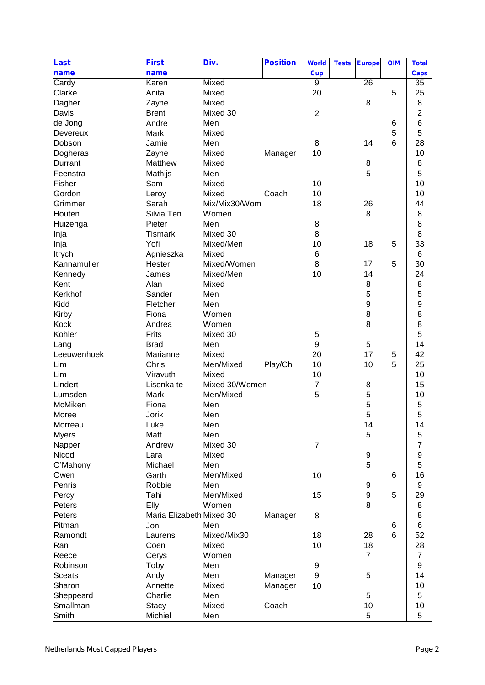| Last           | <b>First</b>                     | Div.           | <b>Position</b> | <b>World</b>   | <b>Tests</b> | <b>Europe</b>   | <b>OIM</b> | <b>Total</b>    |
|----------------|----------------------------------|----------------|-----------------|----------------|--------------|-----------------|------------|-----------------|
| name           | name                             |                |                 | <b>Cup</b>     |              |                 |            | <b>Caps</b>     |
| Cardy          | Karen                            | Mixed          |                 | 9              |              | $\overline{26}$ |            | $\overline{35}$ |
| Clarke         | Anita                            | Mixed          |                 | 20             |              |                 | 5          | 25              |
| Dagher         | Zayne                            | Mixed          |                 |                |              | 8               |            | 8               |
| Davis          | <b>Brent</b>                     | Mixed 30       |                 | $\overline{2}$ |              |                 |            | 2               |
| de Jong        | Andre                            | Men            |                 |                |              |                 | 6          | 6               |
| Devereux       | Mark                             | Mixed          |                 |                |              |                 | 5          | 5               |
| Dobson         | Jamie                            | Men            |                 | 8              |              | 14              | 6          | 28              |
| Dogheras       | Zayne                            | Mixed          | Manager         | 10             |              |                 |            | 10              |
| Durrant        | Matthew                          | Mixed          |                 |                |              | 8               |            | 8               |
| Feenstra       | Mathijs                          | Men            |                 |                |              | 5               |            | 5               |
| Fisher         | Sam                              | Mixed          |                 | 10             |              |                 |            | 10              |
| Gordon         | Leroy                            | Mixed          | Coach           | 10             |              |                 |            | 10              |
| Grimmer        | Sarah                            | Mix/Mix30/Wom  |                 | 18             |              | 26              |            | 44              |
| Houten         | Silvia Ten                       | Women          |                 |                |              | 8               |            | 8               |
| Huizenga       | Pieter                           | Men            |                 | 8              |              |                 |            | 8               |
| Inja           | <b>Tismark</b>                   | Mixed 30       |                 | 8              |              |                 |            | 8               |
| Inja           | Yofi                             | Mixed/Men      |                 | 10             |              | 18              | 5          | 33              |
| Itrych         | Agnieszka                        | Mixed          |                 | 6              |              |                 |            | 6               |
| Kannamuller    | Hester                           | Mixed/Women    |                 | 8              |              | 17              | 5          | 30              |
| Kennedy        | James                            | Mixed/Men      |                 | 10             |              | 14              |            | 24              |
| Kent           | Alan                             | Mixed          |                 |                |              | 8               |            | 8               |
| Kerkhof        | Sander                           | Men            |                 |                |              | 5               |            | 5               |
| Kidd           | Fletcher                         | Men            |                 |                |              | 9               |            | 9               |
| Kirby          | Fiona                            | Women          |                 |                |              | 8               |            | 8               |
| <b>Kock</b>    | Andrea                           | Women          |                 |                |              | 8               |            | 8               |
| Kohler         | Frits                            | Mixed 30       |                 | $\mathbf 5$    |              |                 |            | 5               |
| Lang           | <b>Brad</b>                      | Men            |                 | 9              |              | 5               |            | 14              |
| Leeuwenhoek    | Marianne                         | Mixed          |                 | 20             |              | 17              | 5          | 42              |
| Lim            | Chris                            | Men/Mixed      | Play/Ch         | 10             |              | 10              | 5          | 25              |
| Lim            | Viravuth                         | Mixed          |                 | 10             |              |                 |            | 10              |
| Lindert        | Lisenka te                       | Mixed 30/Women |                 | $\overline{7}$ |              | 8               |            | 15              |
| Lumsden        | Mark                             | Men/Mixed      |                 | 5              |              | 5               |            | 10              |
| <b>McMiken</b> | Fiona                            | Men            |                 |                |              | 5               |            | 5               |
| Moree          | Jorik                            | Men            |                 |                |              | 5               |            | 5               |
| Morreau        | Luke                             | Men            |                 |                |              | 14              |            | 14              |
| <b>Myers</b>   | Matt                             | Men            |                 |                |              | 5               |            | 5               |
| Napper         | Andrew                           | Mixed 30       |                 | $\overline{7}$ |              |                 |            | 7               |
| Nicod          | Lara                             | Mixed          |                 |                |              | 9               |            | 9               |
| O'Mahony       | Michael                          | Men            |                 |                |              | 5               |            | 5               |
| Owen           | Garth                            | Men/Mixed      |                 | 10             |              |                 | 6          | 16              |
| Penris         | Robbie                           | Men            |                 |                |              | 9               |            | 9               |
| Percy          | Tahi                             | Men/Mixed      |                 | 15             |              | 9               | 5          | 29              |
| Peters         |                                  | Women          |                 |                |              | 8               |            | 8               |
| Peters         | Elly<br>Maria Elizabeth Mixed 30 |                |                 |                |              |                 |            | 8               |
|                |                                  | Men            | Manager         | 8              |              |                 |            | 6               |
| Pitman         | Jon                              |                |                 |                |              |                 | 6<br>6     |                 |
| Ramondt        | Laurens                          | Mixed/Mix30    |                 | 18             |              | 28              |            | 52              |
| Ran            | Coen                             | Mixed          |                 | 10             |              | 18              |            | 28              |
| Reece          | Cerys                            | Women          |                 |                |              | $\overline{7}$  |            | $\overline{7}$  |
| Robinson       | Toby                             | Men            |                 | 9              |              |                 |            | 9               |
| <b>Sceats</b>  | Andy                             | Men            | Manager         | 9              |              | 5               |            | 14              |
| Sharon         | Annette                          | Mixed          | Manager         | 10             |              |                 |            | 10              |
| Sheppeard      | Charlie                          | Men            |                 |                |              | 5               |            | 5               |
| Smallman       | <b>Stacy</b>                     | Mixed          | Coach           |                |              | 10              |            | 10              |
| Smith          | Michiel                          | Men            |                 |                |              | 5               |            | 5               |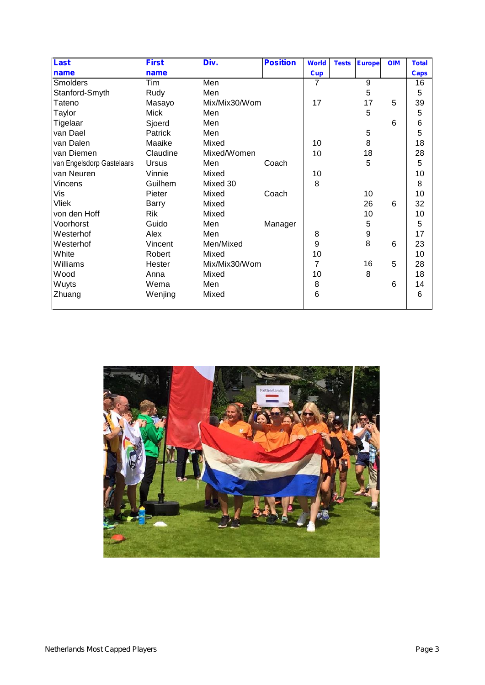| Last                      | <b>First</b> | Div.          | <b>Position</b> | <b>World</b> | <b>Tests</b> | <b>Europe</b> | <b>OIM</b> | <b>Total</b> |
|---------------------------|--------------|---------------|-----------------|--------------|--------------|---------------|------------|--------------|
| name                      | name         |               |                 | <b>Cup</b>   |              |               |            | <b>Caps</b>  |
| <b>Smolders</b>           | Tim          | Men           |                 | 7            |              | 9             |            | 16           |
| Stanford-Smyth            | Rudy         | Men           |                 |              |              | 5             |            | 5            |
| Tateno                    | Masayo       | Mix/Mix30/Wom |                 | 17           |              | 17            | 5          | 39           |
| Taylor                    | Mick         | Men           |                 |              |              | 5             |            | 5            |
| Tigelaar                  | Sjoerd       | Men           |                 |              |              |               | 6          | 6            |
| van Dael                  | Patrick      | Men           |                 |              |              | 5             |            | 5            |
| van Dalen                 | Maaike       | Mixed         |                 | 10           |              | 8             |            | 18           |
| van Diemen                | Claudine     | Mixed/Women   |                 | 10           |              | 18            |            | 28           |
| van Engelsdorp Gastelaars | Ursus        | Men           | Coach           |              |              | 5             |            | 5            |
| van Neuren                | Vinnie       | Mixed         |                 | 10           |              |               |            | 10           |
| <b>Vincens</b>            | Guilhem      | Mixed 30      |                 | 8            |              |               |            | 8            |
| Vis                       | Pieter       | Mixed         | Coach           |              |              | 10            |            | 10           |
| <b>Vliek</b>              | Barry        | Mixed         |                 |              |              | 26            | 6          | 32           |
| von den Hoff              | Rik          | Mixed         |                 |              |              | 10            |            | 10           |
| Voorhorst                 | Guido        | Men           | Manager         |              |              | 5             |            | 5            |
| Westerhof                 | Alex         | Men           |                 | 8            |              | 9             |            | 17           |
| Westerhof                 | Vincent      | Men/Mixed     |                 | 9            |              | 8             | 6          | 23           |
| White                     | Robert       | Mixed         |                 | 10           |              |               |            | 10           |
| Williams                  | Hester       | Mix/Mix30/Wom |                 | 7            |              | 16            | 5          | 28           |
| Wood                      | Anna         | Mixed         |                 | 10           |              | 8             |            | 18           |
| Wuyts                     | Wema         | Men           |                 | 8            |              |               | 6          | 14           |
| Zhuang                    | Wenjing      | Mixed         |                 | 6            |              |               |            | 6            |

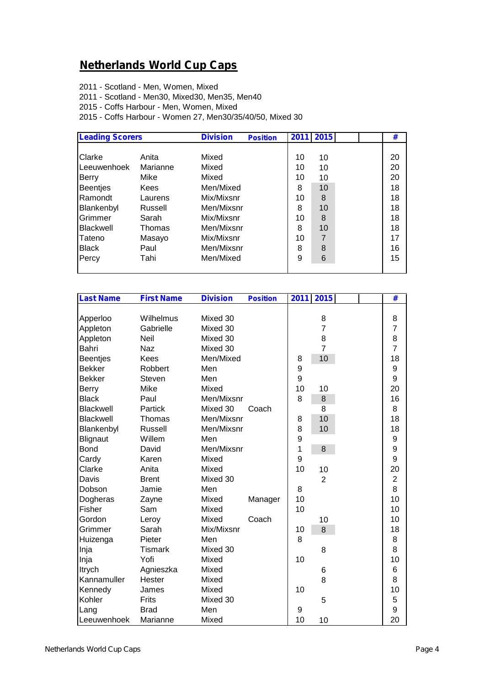#### **Netherlands World Cup Caps**

2011 - Scotland - Men, Women, Mixed

2011 - Scotland - Men30, Mixed30, Men35, Men40

2015 - Coffs Harbour - Men, Women, Mixed

2015 - Coffs Harbour - Women 27, Men30/35/40/50, Mixed 30

| <b>Leading Scorers</b> |             | <b>Division</b><br><b>Position</b> |    | 2011 2015      | #  |
|------------------------|-------------|------------------------------------|----|----------------|----|
|                        |             |                                    |    |                |    |
| Clarke                 | Anita       | Mixed                              | 10 | 10             | 20 |
| Leeuwenhoek            | Marianne    | Mixed                              | 10 | 10             | 20 |
| Berry                  | Mike        | Mixed                              | 10 | 10             | 20 |
| <b>Beentjes</b>        | <b>Kees</b> | Men/Mixed                          | 8  | 10             | 18 |
| Ramondt                | Laurens     | Mix/Mixsnr                         | 10 | 8              | 18 |
| Blankenbyl             | Russell     | Men/Mixsnr                         | 8  | 10             | 18 |
| Grimmer                | Sarah       | Mix/Mixsnr                         | 10 | 8              | 18 |
| <b>Blackwell</b>       | Thomas      | Men/Mixsnr                         | 8  | 10             | 18 |
| Tateno                 | Masayo      | Mix/Mixsnr                         | 10 | $\overline{7}$ | 17 |
| <b>Black</b>           | Paul        | Men/Mixsnr                         | 8  | 8              | 16 |
| Percy                  | Tahi        | Men/Mixed                          | 9  | 6              | 15 |
|                        |             |                                    |    |                |    |

| <b>Last Name</b> | <b>First Name</b> | <b>Division</b> | <b>Position</b> |    | 2011 2015      | #                |
|------------------|-------------------|-----------------|-----------------|----|----------------|------------------|
|                  |                   |                 |                 |    |                |                  |
| Apperloo         | Wilhelmus         | Mixed 30        |                 |    | 8              | 8                |
| Appleton         | Gabrielle         | Mixed 30        |                 |    | $\overline{7}$ | $\overline{7}$   |
| Appleton         | Neil              | Mixed 30        |                 |    | 8              | 8                |
| Bahri            | <b>Naz</b>        | Mixed 30        |                 |    | $\overline{7}$ | $\overline{7}$   |
| <b>Beentjes</b>  | Kees              | Men/Mixed       |                 | 8  | 10             | 18               |
| <b>Bekker</b>    | Robbert           | Men             |                 | 9  |                | $\boldsymbol{9}$ |
| <b>Bekker</b>    | Steven            | Men             |                 | 9  |                | 9                |
| Berry            | Mike              | Mixed           |                 | 10 | 10             | 20               |
| <b>Black</b>     | Paul              | Men/Mixsnr      |                 | 8  | 8              | 16               |
| Blackwell        | Partick           | Mixed 30        | Coach           |    | 8              | 8                |
| Blackwell        | Thomas            | Men/Mixsnr      |                 | 8  | 10             | 18               |
| Blankenbyl       | <b>Russell</b>    | Men/Mixsnr      |                 | 8  | 10             | 18               |
| Blignaut         | Willem            | Men             |                 | 9  |                | 9                |
| <b>Bond</b>      | David             | Men/Mixsnr      |                 | 1  | 8              | 9                |
| Cardy            | Karen             | Mixed           |                 | 9  |                | 9                |
| Clarke           | Anita             | Mixed           |                 | 10 | 10             | 20               |
| Davis            | <b>Brent</b>      | Mixed 30        |                 |    | $\overline{2}$ | $\overline{2}$   |
| Dobson           | Jamie             | Men             |                 | 8  |                | 8                |
| Dogheras         | Zayne             | Mixed           | Manager         | 10 |                | 10               |
| Fisher           | Sam               | Mixed           |                 | 10 |                | 10               |
| Gordon           | Leroy             | Mixed           | Coach           |    | 10             | 10               |
| Grimmer          | Sarah             | Mix/Mixsnr      |                 | 10 | 8              | 18               |
| Huizenga         | Pieter            | Men             |                 | 8  |                | 8                |
| Inja             | <b>Tismark</b>    | Mixed 30        |                 |    | 8              | 8                |
| Inja             | Yofi              | Mixed           |                 | 10 |                | 10               |
| Itrych           | Agnieszka         | Mixed           |                 |    | 6              | $6\phantom{1}6$  |
| Kannamuller      | Hester            | Mixed           |                 |    | 8              | 8                |
| Kennedy          | James             | Mixed           |                 | 10 |                | 10               |
| Kohler           | Frits             | Mixed 30        |                 |    | 5              | 5                |
| Lang             | <b>Brad</b>       | Men             |                 | 9  |                | 9                |
| Leeuwenhoek      | Marianne          | Mixed           |                 | 10 | 10             | 20               |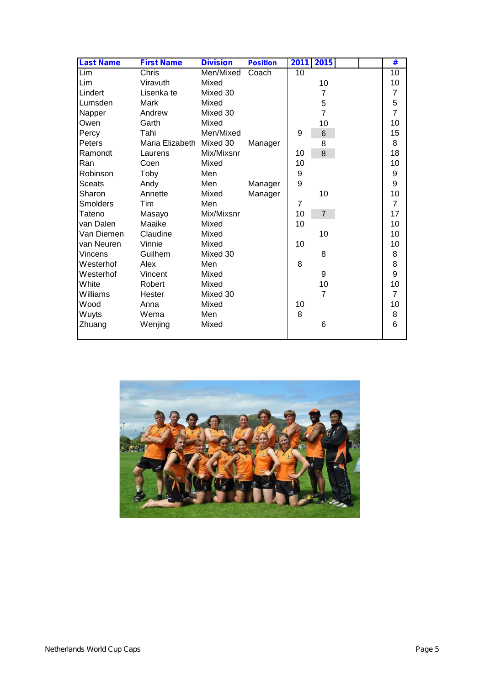| <b>Last Name</b> | <b>First Name</b> | <b>Division</b> | <b>Position</b> |    | 2011 2015      | #              |  |
|------------------|-------------------|-----------------|-----------------|----|----------------|----------------|--|
| Lim              | Chris             | Men/Mixed       | Coach           | 10 |                | 10             |  |
| Lim              | Viravuth          | Mixed           |                 |    | 10             | 10             |  |
| Lindert          | Lisenka te        | Mixed 30        |                 |    | $\overline{7}$ | $\overline{7}$ |  |
| Lumsden          | Mark              | Mixed           |                 |    | 5              | 5              |  |
| Napper           | Andrew            | Mixed 30        |                 |    | $\overline{7}$ | $\overline{7}$ |  |
| Owen             | Garth             | Mixed           |                 |    | 10             | 10             |  |
| Percy            | Tahi              | Men/Mixed       |                 | 9  | 6              | 15             |  |
| Peters           | Maria Elizabeth   | Mixed 30        | Manager         |    | 8              | 8              |  |
| Ramondt          | Laurens           | Mix/Mixsnr      |                 | 10 | 8              | 18             |  |
| Ran              | Coen              | Mixed           |                 | 10 |                | 10             |  |
| Robinson         | Toby              | Men             |                 | 9  |                | 9              |  |
| Sceats           | Andy              | Men             | Manager         | 9  |                | 9              |  |
| Sharon           | Annette           | Mixed           | Manager         |    | 10             | 10             |  |
| <b>Smolders</b>  | Tim               | Men             |                 | 7  |                | $\overline{7}$ |  |
| Tateno           | Masayo            | Mix/Mixsnr      |                 | 10 | $\overline{7}$ | 17             |  |
| van Dalen        | Maaike            | Mixed           |                 | 10 |                | 10             |  |
| Van Diemen       | Claudine          | Mixed           |                 |    | 10             | 10             |  |
| van Neuren       | Vinnie            | Mixed           |                 | 10 |                | 10             |  |
| Vincens          | Guilhem           | Mixed 30        |                 |    | 8              | 8              |  |
| Westerhof        | Alex              | Men             |                 | 8  |                | 8              |  |
| Westerhof        | Vincent           | Mixed           |                 |    | 9              | 9              |  |
| White            | Robert            | Mixed           |                 |    | 10             | 10             |  |
| Williams         | Hester            | Mixed 30        |                 |    | $\overline{7}$ | $\overline{7}$ |  |
| Wood             | Anna              | Mixed           |                 | 10 |                | 10             |  |
| Wuyts            | Wema              | Men             |                 | 8  |                | 8              |  |
| Zhuang           | Wenjing           | Mixed           |                 |    | 6              | 6              |  |

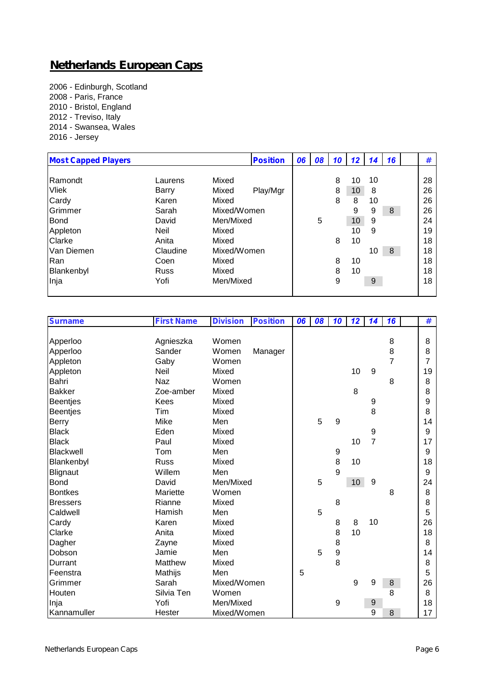### **Netherlands European Caps**

2006 - Edinburgh, Scotland 2008 - Paris, France 2010 - Bristol, England 2012 - Treviso, Italy 2014 - Swansea, Wales 2016 - Jersey

| <b>Most Capped Players</b> |             |             | <b>Position</b> | 06 | 08 | 10 | 12 | 14 | 16 | #  |
|----------------------------|-------------|-------------|-----------------|----|----|----|----|----|----|----|
| Ramondt                    | Laurens     | Mixed       |                 |    |    | 8  | 10 | 10 |    | 28 |
| <b>Vliek</b>               | Barry       | Mixed       | Play/Mgr        |    |    | 8  | 10 | 8  |    | 26 |
| Cardy                      | Karen       | Mixed       |                 |    |    | 8  | 8  | 10 |    | 26 |
| Grimmer                    | Sarah       | Mixed/Women |                 |    |    |    | 9  | 9  | 8  | 26 |
| Bond                       | David       | Men/Mixed   |                 |    | 5  |    | 10 | 9  |    | 24 |
| Appleton                   | Neil        | Mixed       |                 |    |    |    | 10 | 9  |    | 19 |
| Clarke                     | Anita       | Mixed       |                 |    |    | 8  | 10 |    |    | 18 |
| Van Diemen                 | Claudine    | Mixed/Women |                 |    |    |    |    | 10 | 8  | 18 |
| Ran                        | Coen        | Mixed       |                 |    |    | 8  | 10 |    |    | 18 |
| Blankenbyl                 | <b>Russ</b> | Mixed       |                 |    |    | 8  | 10 |    |    | 18 |
| Inja                       | Yofi        | Men/Mixed   |                 |    |    | 9  |    | 9  |    | 18 |

| <b>Surname</b>  | <b>First Name</b> | <b>Division</b><br><b>Position</b> | 06 | 08 | 10               | 12               | 14 | 16             | #  |
|-----------------|-------------------|------------------------------------|----|----|------------------|------------------|----|----------------|----|
|                 |                   |                                    |    |    |                  |                  |    |                |    |
| Apperloo        | Agnieszka         | Women                              |    |    |                  |                  |    | $\,$ 8 $\,$    | 8  |
| Apperloo        | Sander            | Women<br>Manager                   |    |    |                  |                  |    | 8              | 8  |
| Appleton        | Gaby              | Women                              |    |    |                  |                  |    | $\overline{7}$ | 7  |
| Appleton        | Neil              | Mixed                              |    |    |                  | 10               | 9  |                | 19 |
| Bahri           | <b>Naz</b>        | Women                              |    |    |                  |                  |    | 8              | 8  |
| <b>Bakker</b>   | Zoe-amber         | Mixed                              |    |    |                  | 8                |    |                | 8  |
| Beentjes        | Kees              | Mixed                              |    |    |                  |                  | 9  |                | 9  |
| Beentjes        | Tim               | Mixed                              |    |    |                  |                  | 8  |                | 8  |
| <b>Berry</b>    | Mike              | Men                                |    | 5  | 9                |                  |    |                | 14 |
| <b>Black</b>    | Eden              | Mixed                              |    |    |                  |                  | 9  |                | 9  |
| <b>Black</b>    | Paul              | Mixed                              |    |    |                  | 10               | 7  |                | 17 |
| Blackwell       | Tom               | Men                                |    |    | 9                |                  |    |                | 9  |
| Blankenbyl      | Russ              | Mixed                              |    |    | 8                | 10               |    |                | 18 |
| Blignaut        | Willem            | Men                                |    |    | $\boldsymbol{9}$ |                  |    |                | 9  |
| Bond            | David             | Men/Mixed                          |    | 5  |                  | 10 <sup>°</sup>  | 9  |                | 24 |
| <b>Bontkes</b>  | Mariette          | Women                              |    |    |                  |                  |    | 8              | 8  |
| <b>Bressers</b> | Rianne            | Mixed                              |    |    | 8                |                  |    |                | 8  |
| Caldwell        | Hamish            | Men                                |    | 5  |                  |                  |    |                | 5  |
| Cardy           | Karen             | Mixed                              |    |    | 8                | 8                | 10 |                | 26 |
| Clarke          | Anita             | Mixed                              |    |    | 8                | 10               |    |                | 18 |
| Dagher          | Zayne             | Mixed                              |    |    | 8                |                  |    |                | 8  |
| Dobson          | Jamie             | Men                                |    | 5  | 9                |                  |    |                | 14 |
| <b>Durrant</b>  | Matthew           | Mixed                              |    |    | 8                |                  |    |                | 8  |
| Feenstra        | Mathijs           | Men                                | 5  |    |                  |                  |    |                | 5  |
| Grimmer         | Sarah             | Mixed/Women                        |    |    |                  | $\boldsymbol{9}$ | 9  | $\,8\,$        | 26 |
| Houten          | Silvia Ten        | Women                              |    |    |                  |                  |    | 8              | 8  |
| Inja            | Yofi              | Men/Mixed                          |    |    | 9                |                  | 9  |                | 18 |
| Kannamuller     | Hester            | Mixed/Women                        |    |    |                  |                  | 9  | 8              | 17 |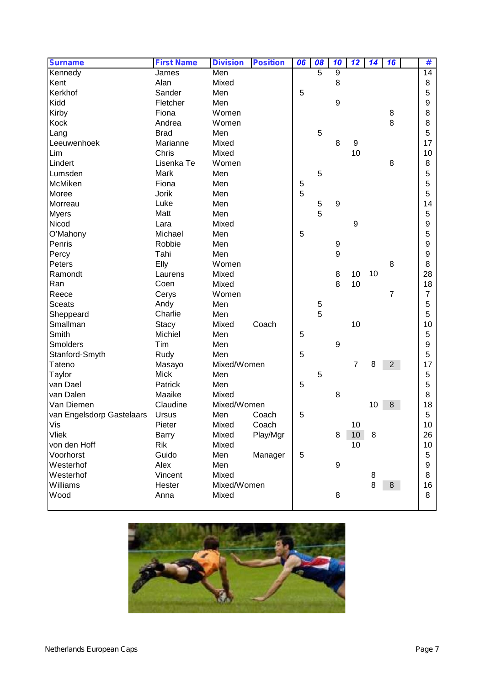| <b>Surname</b>            | <b>First Name</b> | <b>Division</b> | <b>Position</b> | 06          | 08             | $\overline{10}$  | 12               | 14 | 16             | #               |
|---------------------------|-------------------|-----------------|-----------------|-------------|----------------|------------------|------------------|----|----------------|-----------------|
| Kennedy                   | James             | Men             |                 |             | $\overline{5}$ | $\overline{9}$   |                  |    |                | $\overline{14}$ |
| Kent                      | Alan              | Mixed           |                 |             |                | 8                |                  |    |                | 8               |
| Kerkhof                   | Sander            | Men             |                 | 5           |                |                  |                  |    |                | 5               |
| Kidd                      | Fletcher          | Men             |                 |             |                | $\boldsymbol{9}$ |                  |    |                | 9               |
| Kirby                     | Fiona             | Women           |                 |             |                |                  |                  |    | 8              | 8               |
| Kock                      | Andrea            | Women           |                 |             |                |                  |                  |    | 8              | 8               |
| Lang                      | <b>Brad</b>       | Men             |                 |             | 5              |                  |                  |    |                | 5               |
| Leeuwenhoek               | Marianne          | Mixed           |                 |             |                | 8                | $\boldsymbol{9}$ |    |                | 17              |
| Lim                       | Chris             | Mixed           |                 |             |                |                  | 10               |    |                | 10              |
| Lindert                   | Lisenka Te        | Women           |                 |             |                |                  |                  |    | 8              | 8               |
| Lumsden                   | Mark              | Men             |                 |             | 5              |                  |                  |    |                | 5               |
| McMiken                   | Fiona             | Men             |                 | $\mathbf 5$ |                |                  |                  |    |                | 5               |
| Moree                     | Jorik             | Men             |                 | 5           |                |                  |                  |    |                | 5               |
| Morreau                   | Luke              | Men             |                 |             | 5              | 9                |                  |    |                | 14              |
| <b>Myers</b>              | Matt              | Men             |                 |             | 5              |                  |                  |    |                | 5               |
| Nicod                     | Lara              | Mixed           |                 |             |                |                  | $\boldsymbol{9}$ |    |                | 9               |
| O'Mahony                  | Michael           | Men             |                 | 5           |                |                  |                  |    |                | 5               |
| Penris                    | Robbie            | Men             |                 |             |                | 9                |                  |    |                | 9               |
| Percy                     | Tahi              | Men             |                 |             |                | 9                |                  |    |                | 9               |
| Peters                    | Elly              | Women           |                 |             |                |                  |                  |    | 8              | 8               |
| Ramondt                   | Laurens           | Mixed           |                 |             |                | 8                | 10               | 10 |                | 28              |
| Ran                       | Coen              | Mixed           |                 |             |                | 8                | 10               |    |                | 18              |
| Reece                     | Cerys             | Women           |                 |             |                |                  |                  |    | 7              | $\overline{7}$  |
| <b>Sceats</b>             | Andy              | Men             |                 |             | 5              |                  |                  |    |                | 5               |
| Sheppeard                 | Charlie           | Men             |                 |             | 5              |                  |                  |    |                | 5               |
| Smallman                  | Stacy             | Mixed           | Coach           |             |                |                  | 10               |    |                | 10              |
| Smith                     | Michiel           | Men             |                 | $\mathbf 5$ |                |                  |                  |    |                | 5               |
| <b>Smolders</b>           | Tim               | Men             |                 |             |                | $\boldsymbol{9}$ |                  |    |                | 9               |
| Stanford-Smyth            | Rudy              | Men             |                 | 5           |                |                  |                  |    |                | 5               |
| Tateno                    | Masayo            | Mixed/Women     |                 |             |                |                  | $\overline{7}$   | 8  | 2 <sup>7</sup> | 17              |
| Taylor                    | <b>Mick</b>       | Men             |                 |             | 5              |                  |                  |    |                | 5               |
| van Dael                  | Patrick           | Men             |                 | 5           |                |                  |                  |    |                | 5               |
| van Dalen                 | Maaike            | Mixed           |                 |             |                | 8                |                  |    |                | 8               |
| Van Diemen                | Claudine          | Mixed/Women     |                 |             |                |                  |                  | 10 | 8              | 18              |
| van Engelsdorp Gastelaars | Ursus             | Men             | Coach           | 5           |                |                  |                  |    |                | 5               |
| Vis                       | Pieter            | Mixed           | Coach           |             |                |                  | 10               |    |                | 10              |
| <b>Vliek</b>              | <b>Barry</b>      | Mixed           | Play/Mgr        |             |                | 8                | 10               | 8  |                | 26              |
| von den Hoff              | <b>Rik</b>        | Mixed           |                 |             |                |                  | 10               |    |                | 10              |
| Voorhorst                 | Guido             | Men             | Manager         | $\sqrt{5}$  |                |                  |                  |    |                | 5               |
| Westerhof                 | Alex              | Men             |                 |             |                | 9                |                  |    |                | 9               |
| Westerhof                 | Vincent           | Mixed           |                 |             |                |                  |                  | 8  |                | 8               |
| Williams                  | Hester            | Mixed/Women     |                 |             |                |                  |                  | 8  | 8              | 16              |
| Wood                      | Anna              | Mixed           |                 |             |                | 8                |                  |    |                | 8               |
|                           |                   |                 |                 |             |                |                  |                  |    |                |                 |

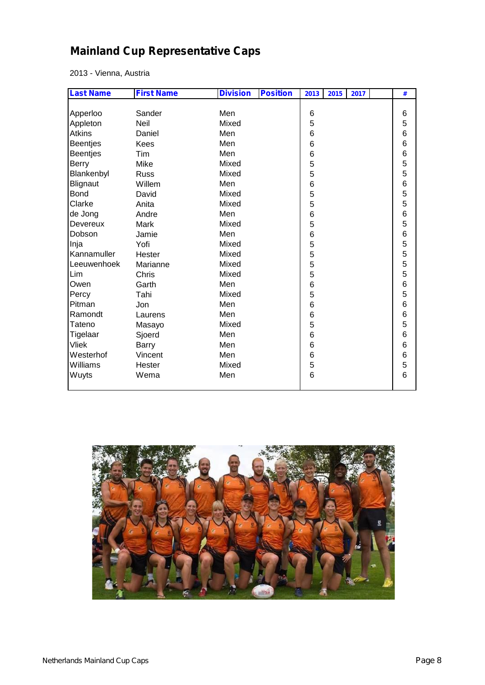# **Mainland Cup Representative Caps**

2013 - Vienna, Austria

| <b>Last Name</b> | <b>First Name</b> | <b>Division</b><br><b>Position</b> | 2015<br>2013<br>2017 | # |
|------------------|-------------------|------------------------------------|----------------------|---|
|                  |                   |                                    |                      |   |
| Apperloo         | Sander            | Men                                | 6                    | 6 |
| Appleton         | Neil              | Mixed                              | 5                    | 5 |
| <b>Atkins</b>    | Daniel            | Men                                | 6                    | 6 |
| <b>Beentjes</b>  | Kees              | Men                                | 6                    | 6 |
| Beentjes         | Tim               | Men                                | 6                    | 6 |
| Berry            | Mike              | Mixed                              | 5                    | 5 |
| Blankenbyl       | <b>Russ</b>       | Mixed                              | 5                    | 5 |
| Blignaut         | Willem            | Men                                | 6                    | 6 |
| <b>Bond</b>      | David             | Mixed                              | 5                    | 5 |
| Clarke           | Anita             | Mixed                              | 5                    | 5 |
| de Jong          | Andre             | Men                                | 6                    | 6 |
| Devereux         | Mark              | Mixed                              | 5                    | 5 |
| Dobson           | Jamie             | Men                                | 6                    | 6 |
| Inja             | Yofi              | Mixed                              | 5                    | 5 |
| Kannamuller      | Hester            | Mixed                              | 5                    | 5 |
| Leeuwenhoek      | Marianne          | Mixed                              | 5                    | 5 |
| Lim              | Chris             | Mixed                              | 5                    | 5 |
| Owen             | Garth             | Men                                | 6                    | 6 |
| Percy            | Tahi              | Mixed                              | 5                    | 5 |
| Pitman           | Jon               | Men                                | 6                    | 6 |
| Ramondt          | Laurens           | Men                                | 6                    | 6 |
| Tateno           | Masayo            | Mixed                              | 5                    | 5 |
| Tigelaar         | Sjoerd            | Men                                | 6                    | 6 |
| <b>Vliek</b>     | <b>Barry</b>      | Men                                | 6                    | 6 |
| Westerhof        | Vincent           | Men                                | 6                    | 6 |
| Williams         | Hester            | Mixed                              | 5                    | 5 |
| Wuyts            | Wema              | Men                                | 6                    | 6 |
|                  |                   |                                    |                      |   |